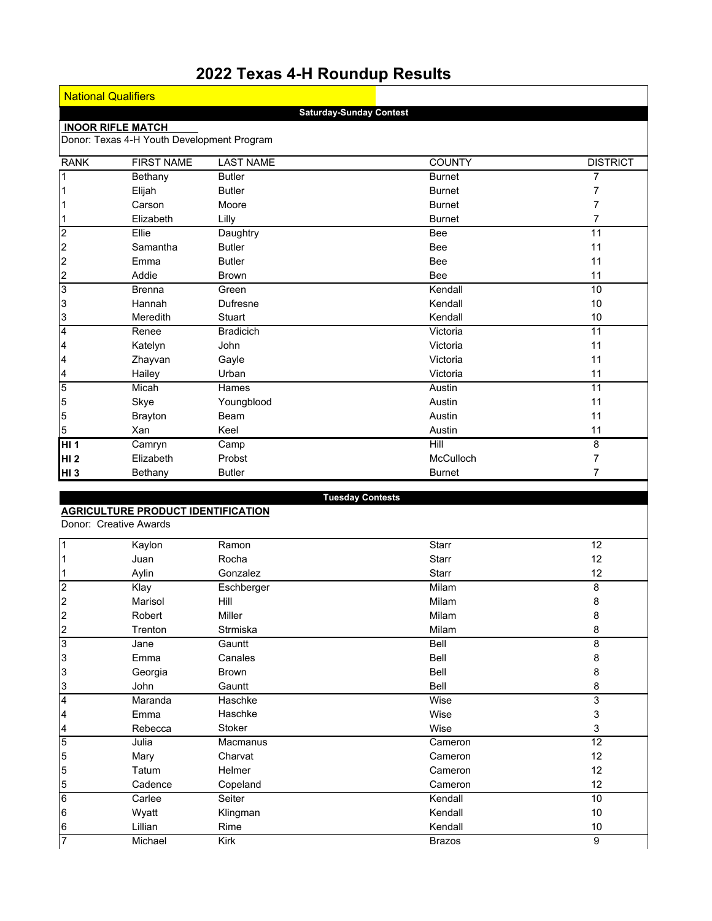# **2022 Texas 4-H Roundup Results**

Ŀ

|                          | <b>National Qualifiers</b>                 |                  |                                |                 |  |
|--------------------------|--------------------------------------------|------------------|--------------------------------|-----------------|--|
|                          |                                            |                  | <b>Saturday-Sunday Contest</b> |                 |  |
|                          | <b>INOOR RIFLE MATCH</b>                   |                  |                                |                 |  |
|                          | Donor: Texas 4-H Youth Development Program |                  |                                |                 |  |
| <b>RANK</b>              | <b>FIRST NAME</b>                          | <b>LAST NAME</b> | <b>COUNTY</b>                  | <b>DISTRICT</b> |  |
| $\overline{1}$           | Bethany                                    | <b>Butler</b>    | <b>Burnet</b>                  | $\overline{7}$  |  |
| $\overline{1}$           | Elijah                                     | <b>Butler</b>    | <b>Burnet</b>                  | 7               |  |
| $\overline{1}$           | Carson                                     | Moore            | <b>Burnet</b>                  | 7               |  |
| $\vert$ 1                | Elizabeth                                  | Lilly            | <b>Burnet</b>                  | 7               |  |
| $\frac{1}{2}$            | Ellie                                      | Daughtry         | <b>Bee</b>                     | 11              |  |
|                          | Samantha                                   | <b>Butler</b>    | <b>Bee</b>                     | 11              |  |
|                          | Emma                                       | <b>Butler</b>    | <b>Bee</b>                     | 11              |  |
|                          | Addie                                      | <b>Brown</b>     | <b>Bee</b>                     | 11              |  |
| $\frac{2}{3}$            | <b>Brenna</b>                              | Green            | Kendall                        | 10              |  |
| $\overline{3}$           | Hannah                                     | Dufresne         | Kendall                        | 10              |  |
| $\frac{3}{4}$            | Meredith                                   | Stuart           | Kendall                        | 10              |  |
|                          | Renee                                      | <b>Bradicich</b> | Victoria                       | 11              |  |
| $\overline{\mathcal{A}}$ | Katelyn                                    | John             | Victoria                       | 11              |  |
| $\overline{a}$           | Zhayvan                                    | Gayle            | Victoria                       | 11              |  |
|                          | Hailey                                     | Urban            | Victoria                       | 11              |  |
| $\frac{4}{5}$            | Micah                                      | Hames            | Austin                         | 11              |  |
| 5                        | Skye                                       | Youngblood       | Austin                         | 11              |  |
| 5                        | <b>Brayton</b>                             | Beam             | Austin                         | 11              |  |
| $\overline{5}$           | Xan                                        | Keel             | Austin                         | 11              |  |
| <b>HI1</b>               | Camryn                                     | Camp             | Hill                           | 8               |  |
| HI <sub>2</sub>          | Elizabeth                                  | Probst           | McCulloch                      | $\overline{7}$  |  |
| HI 3                     | Bethany                                    | <b>Butler</b>    | <b>Burnet</b>                  | 7               |  |
|                          |                                            |                  |                                |                 |  |
|                          |                                            |                  | <b>Tuesday Contests</b>        |                 |  |
|                          | <b>AGRICULTURE PRODUCT IDENTIFICATION</b>  |                  |                                |                 |  |
|                          | Donor: Creative Awards                     |                  |                                |                 |  |

|                         | Kaylon  | Ramon         | Starr         | 12 |
|-------------------------|---------|---------------|---------------|----|
|                         | Juan    | Rocha         | Starr         | 12 |
|                         | Aylin   | Gonzalez      | <b>Starr</b>  | 12 |
| $\overline{2}$          | Klay    | Eschberger    | Milam         | 8  |
| $\overline{c}$          | Marisol | Hill          | Milam         | 8  |
| $\boldsymbol{2}$        | Robert  | Miller        | Milam         | 8  |
| 2                       | Trenton | Strmiska      | Milam         | 8  |
| 3                       | Jane    | Gauntt        | Bell          | 8  |
| 3                       | Emma    | Canales       | Bell          | 8  |
| 3                       | Georgia | <b>Brown</b>  | Bell          | 8  |
| 3                       | John    | Gauntt        | Bell          | 8  |
| $\overline{\mathbf{4}}$ | Maranda | Haschke       | Wise          | 3  |
| 4                       | Emma    | Haschke       | Wise          | 3  |
| 4                       | Rebecca | <b>Stoker</b> | Wise          | 3  |
| 5                       | Julia   | Macmanus      | Cameron       | 12 |
| 5                       | Mary    | Charvat       | Cameron       | 12 |
| 5                       | Tatum   | Helmer        | Cameron       | 12 |
| 5                       | Cadence | Copeland      | Cameron       | 12 |
| 6                       | Carlee  | Seiter        | Kendall       | 10 |
| 6                       | Wyatt   | Klingman      | Kendall       | 10 |
| 6                       | Lillian | Rime          | Kendall       | 10 |
| $\overline{7}$          | Michael | Kirk          | <b>Brazos</b> | 9  |
|                         |         |               |               |    |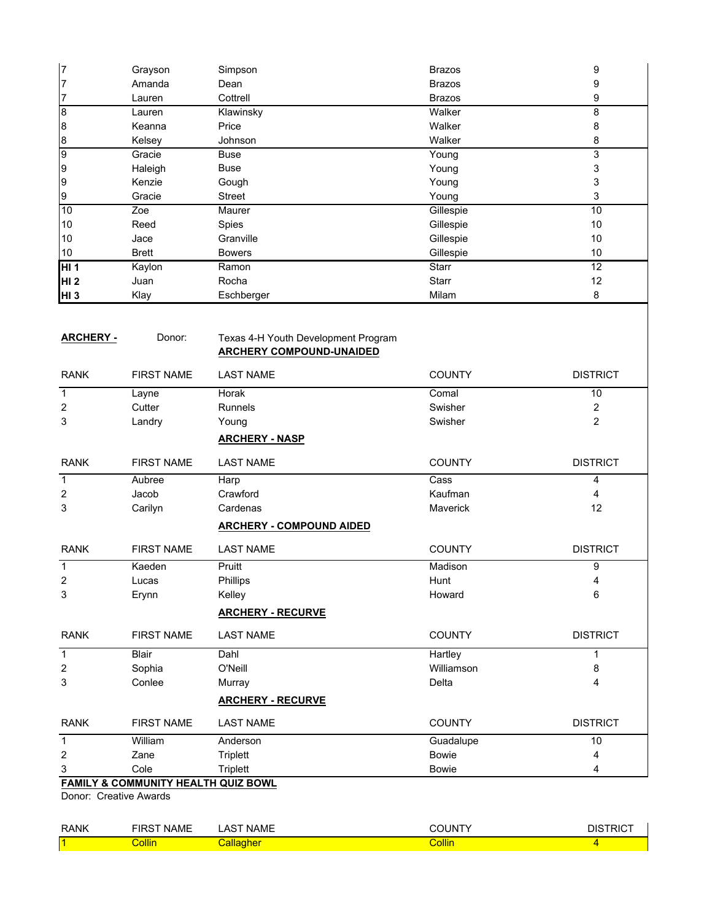| $\overline{7}$  | Grayson | Simpson        | <b>Brazos</b> | 9  |
|-----------------|---------|----------------|---------------|----|
| 7               | Amanda  | Dean           | <b>Brazos</b> | 9  |
| 7               | Lauren  | Cottrell       | <b>Brazos</b> | 9  |
| 8               | Lauren  | Klawinsky      | Walker        | 8  |
| 8               | Keanna  | Price          | Walker        | 8  |
| 8               | Kelsey  | <b>Johnson</b> | Walker        | 8  |
| 9               | Gracie  | Buse           | Young         | 3  |
| 9               | Haleigh | Buse           | Young         | 3  |
| 9               | Kenzie  | Gough          | Young         | 3  |
| 9               | Gracie  | <b>Street</b>  | Young         | 3  |
| 10              | Zoe     | Maurer         | Gillespie     | 10 |
| 10              | Reed    | <b>Spies</b>   | Gillespie     | 10 |
| 10              | Jace    | Granville      | Gillespie     | 10 |
| 10              | Brett   | <b>Bowers</b>  | Gillespie     | 10 |
| HI 1            | Kaylon  | Ramon          | <b>Starr</b>  | 12 |
| HI <sub>2</sub> | Juan    | Rocha          | <b>Starr</b>  | 12 |
| HI <sub>3</sub> | Klay    | Eschberger     | Milam         | 8  |

| <b>ARCHERY -</b> | Donor: | Texas 4-H Youth Development Program |
|------------------|--------|-------------------------------------|
|                  |        | <b>ARCHERY COMPOUND-UNAIDED</b>     |

| <b>RANK</b>    | <b>FIRST NAME</b>                            | <b>LAST NAME</b>                | <b>COUNTY</b> | <b>DISTRICT</b>         |
|----------------|----------------------------------------------|---------------------------------|---------------|-------------------------|
| $\mathbf{1}$   | Layne                                        | Horak                           | Comal         | 10                      |
| $\overline{c}$ | Cutter                                       | <b>Runnels</b>                  | Swisher       | $\overline{\mathbf{c}}$ |
| 3              | Landry                                       | Young                           | Swisher       | $\overline{2}$          |
|                |                                              | <b>ARCHERY - NASP</b>           |               |                         |
| <b>RANK</b>    | <b>FIRST NAME</b>                            | <b>LAST NAME</b>                | <b>COUNTY</b> | <b>DISTRICT</b>         |
| $\mathbf{1}$   | Aubree                                       | Harp                            | Cass          | 4                       |
| 2              | Jacob                                        | Crawford                        | Kaufman       | 4                       |
| 3              | Carilyn                                      | Cardenas                        | Maverick      | 12                      |
|                |                                              | <b>ARCHERY - COMPOUND AIDED</b> |               |                         |
| <b>RANK</b>    | <b>FIRST NAME</b>                            | <b>LAST NAME</b>                | <b>COUNTY</b> | <b>DISTRICT</b>         |
| $\mathbf{1}$   | Kaeden                                       | Pruitt                          | Madison       | 9                       |
| $\overline{c}$ | Lucas                                        | Phillips                        | Hunt          | 4                       |
| 3              | Erynn                                        | Kelley                          | Howard        | 6                       |
|                |                                              | <b>ARCHERY - RECURVE</b>        |               |                         |
| <b>RANK</b>    | <b>FIRST NAME</b>                            | <b>LAST NAME</b>                | <b>COUNTY</b> | <b>DISTRICT</b>         |
| $\mathbf{1}$   | <b>Blair</b>                                 | Dahl                            | Hartley       | 1                       |
| $\overline{2}$ | Sophia                                       | O'Neill                         | Williamson    | 8                       |
| 3              | Conlee                                       | Murray                          | Delta         | 4                       |
|                |                                              | <b>ARCHERY - RECURVE</b>        |               |                         |
| <b>RANK</b>    | <b>FIRST NAME</b>                            | <b>LAST NAME</b>                | <b>COUNTY</b> | <b>DISTRICT</b>         |
| $\mathbf{1}$   | William                                      | Anderson                        | Guadalupe     | 10                      |
| 2              | Zane                                         | <b>Triplett</b>                 | <b>Bowie</b>  | 4                       |
| 3              | Cole                                         | <b>Triplett</b>                 | <b>Bowie</b>  | 4                       |
|                | <b>CAMILY 9 COMMUNITY LICAL THI OUT DOME</b> |                                 |               |                         |

# **FAMILY & COMMUNITY HEALTH QUIZ BOWL**

Donor: Creative Awards

| <b>RANK</b> | .<br>∖ME | $\sqrt{2}$<br>A.<br>'AML | JN     |  |
|-------------|----------|--------------------------|--------|--|
|             | ollin    |                          | िollin |  |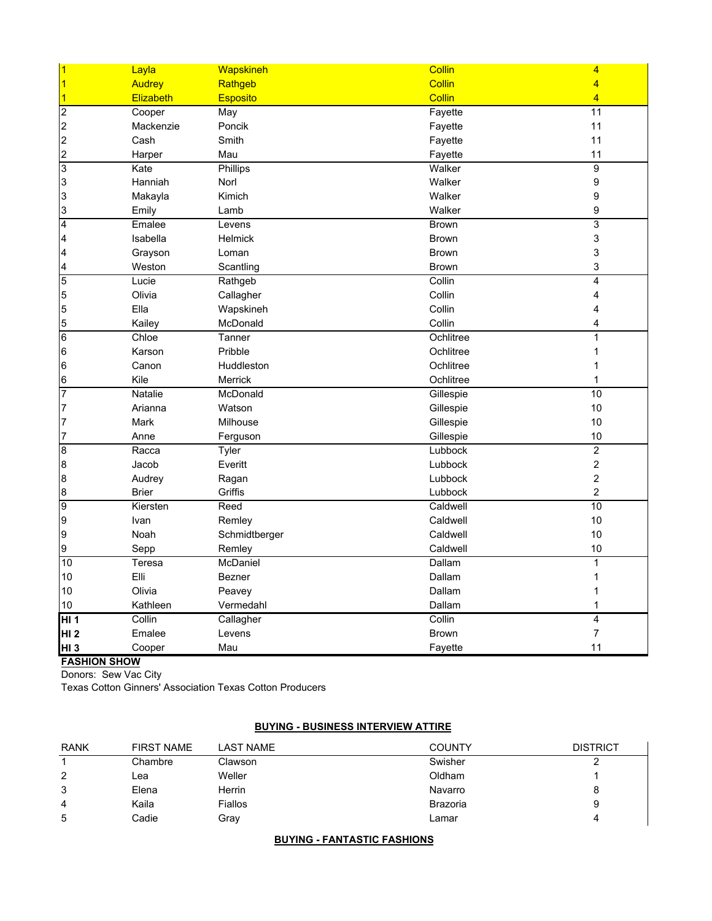| $\vert$ 1                        | Layla            | Wapskineh       | Collin        | $\overline{\mathbf{4}}$ |
|----------------------------------|------------------|-----------------|---------------|-------------------------|
| $\overline{1}$                   | <b>Audrey</b>    | Rathgeb         | Collin        | $\overline{4}$          |
| $\vert$ 1                        | <b>Elizabeth</b> | <b>Esposito</b> | <b>Collin</b> | $\overline{4}$          |
| $\overline{2}$                   | Cooper           | May             | Fayette       | 11                      |
| $\overline{c}$                   | Mackenzie        | Poncik          | Fayette       | 11                      |
| $\overline{c}$                   | Cash             | Smith           | Fayette       | 11                      |
| $\overline{2}$                   | Harper           | Mau             | Fayette       | 11                      |
| 3                                | Kate             | Phillips        | Walker        | $\overline{9}$          |
| 3                                | Hanniah          | Norl            | Walker        | 9                       |
| 3                                | Makayla          | Kimich          | Walker        | 9                       |
| 3                                | Emily            | Lamb            | Walker        | 9                       |
| $\overline{4}$                   | Emalee           | Levens          | <b>Brown</b>  | $\overline{3}$          |
| $\overline{\mathbf{4}}$          | Isabella         | <b>Helmick</b>  | <b>Brown</b>  | 3                       |
| $\overline{\mathbf{4}}$          | Grayson          | Loman           | <b>Brown</b>  | 3                       |
| 4                                | Weston           | Scantling       | <b>Brown</b>  | 3                       |
| 5                                | Lucie            | Rathgeb         | Collin        | $\overline{4}$          |
| 5                                | Olivia           | Callagher       | Collin        | 4                       |
| 5                                | Ella             | Wapskineh       | Collin        | 4                       |
| 5                                | Kailey           | McDonald        | Collin        | 4                       |
| $\overline{6}$                   | Chloe            | Tanner          | Ochlitree     | 1                       |
| 6                                | Karson           | Pribble         | Ochlitree     | 1                       |
| 6                                | Canon            | Huddleston      | Ochlitree     | 1                       |
| $6\phantom{.}6$                  | Kile             | <b>Merrick</b>  | Ochlitree     | $\mathbf{1}$            |
| $\overline{7}$                   | <b>Natalie</b>   | McDonald        | Gillespie     | 10                      |
| 7                                | Arianna          | Watson          | Gillespie     | 10                      |
| $\overline{7}$                   | Mark             | Milhouse        | Gillespie     | 10                      |
| $\overline{7}$                   | Anne             | Ferguson        | Gillespie     | 10                      |
| $\bf{8}$                         | Racca            | Tyler           | Lubbock       | $\overline{2}$          |
| 8                                | Jacob            | Everitt         | Lubbock       | $\overline{c}$          |
| 8                                | Audrey           | Ragan           | Lubbock       | $\overline{c}$          |
| 8                                | <b>Brier</b>     | Griffis         | Lubbock       | $\overline{c}$          |
| 9                                | Kiersten         | Reed            | Caldwell      | 10                      |
| 9                                | Ivan             | Remley          | Caldwell      | 10                      |
| $\overline{9}$                   | Noah             | Schmidtberger   | Caldwell      | 10                      |
| 9                                | Sepp             | Remley          | Caldwell      | 10                      |
| 10                               | Teresa           | McDaniel        | Dallam        | 1                       |
| 10                               | Elli             | <b>Bezner</b>   | Dallam        | 1                       |
| 10                               | Olivia           | Peavey          | Dallam        | 1                       |
| 10                               | Kathleen         | Vermedahl       | Dallam        | $\mathbf 1$             |
| HI <sub>1</sub>                  | Collin           | Callagher       | Collin        | $\overline{4}$          |
| HI <sub>2</sub>                  | Emalee           | Levens          | <b>Brown</b>  | $\overline{7}$          |
| HI <sub>3</sub><br>$\frac{1}{2}$ | Cooper           | Mau             | Fayette       | 11                      |

#### **FASHION SHOW**

Donors: Sew Vac City

Texas Cotton Ginners' Association Texas Cotton Producers

# **BUYING - BUSINESS INTERVIEW ATTIRE**

| <b>RANK</b> | <b>FIRST NAME</b> | LAST NAME | <b>COUNTY</b> | <b>DISTRICT</b> |
|-------------|-------------------|-----------|---------------|-----------------|
|             | Chambre           | Clawson   | Swisher       |                 |
| 2           | Lea               | Weller    | Oldham        |                 |
| 3           | Elena             | Herrin    | Navarro       | 8               |
| 4           | Kaila             | Fiallos   | Brazoria      | 9               |
| 5           | Cadie             | Grav      | Lamar         | 4               |

# **BUYING - FANTASTIC FASHIONS**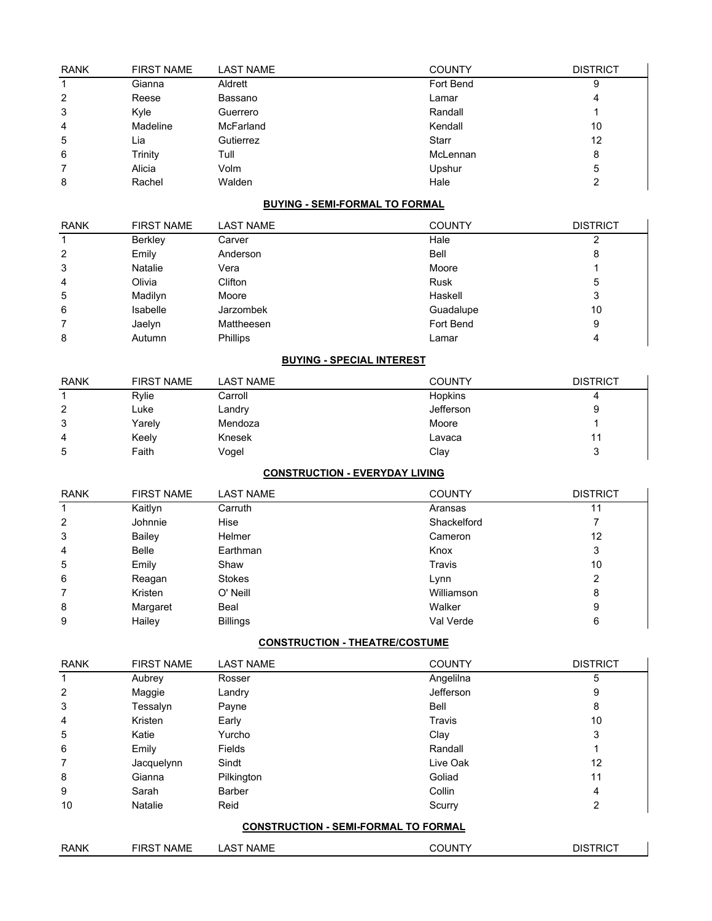| <b>RANK</b> | <b>FIRST NAME</b> | <b>LAST NAME</b> | <b>COUNTY</b> | <b>DISTRICT</b> |
|-------------|-------------------|------------------|---------------|-----------------|
|             | Gianna            | Aldrett          | Fort Bend     | 9               |
| 2           | Reese             | Bassano          | Lamar         | 4               |
| 3           | Kyle              | Guerrero         | Randall       |                 |
| 4           | Madeline          | McFarland        | Kendall       | 10              |
| 5           | Lia               | Gutierrez        | Starr         | 12              |
| 6           | Trinity           | Tull             | McLennan      | 8               |
|             | Alicia            | Volm             | Upshur        | 5               |
| 8           | Rachel            | Walden           | Hale          | っ               |

# **BUYING - SEMI-FORMAL TO FORMAL**

| <b>RANK</b> | <b>FIRST NAME</b> | <b>LAST NAME</b> | <b>COUNTY</b> | <b>DISTRICT</b> |
|-------------|-------------------|------------------|---------------|-----------------|
|             | Berkley           | Carver           | Hale          |                 |
| 2           | Emily             | Anderson         | <b>Bell</b>   | 8               |
| 3           | <b>Natalie</b>    | Vera             | Moore         |                 |
| 4           | Olivia            | Clifton          | <b>Rusk</b>   | 5               |
| 5           | Madilyn           | Moore            | Haskell       | 3               |
| 6           | Isabelle          | <b>Jarzombek</b> | Guadalupe     | 10              |
|             | Jaelyn            | Mattheesen       | Fort Bend     | 9               |
| 8           | Autumn            | <b>Phillips</b>  | Lamar         |                 |

# **BUYING - SPECIAL INTEREST**

| <b>RANK</b> | <b>FIRST NAME</b> | <b>LAST NAME</b> | <b>COUNTY</b> | <b>DISTRICT</b> |
|-------------|-------------------|------------------|---------------|-----------------|
|             | Rylie             | Carroll          | Hopkins       |                 |
| 2           | Luke              | Landry           | Jefferson     | 9               |
| 3           | Yarely            | Mendoza          | Moore         |                 |
| 4           | Keely             | Knesek           | Lavaca        |                 |
| 5           | Faith             | Vogel            | Clay          | ົ               |

# **CONSTRUCTION - EVERYDAY LIVING**

| <b>RANK</b> | <b>FIRST NAME</b> | <b>LAST NAME</b> | <b>COUNTY</b> | <b>DISTRICT</b> |
|-------------|-------------------|------------------|---------------|-----------------|
|             | Kaitlyn           | Carruth          | Aransas       | 11              |
| 2           | Johnnie           | Hise             | Shackelford   |                 |
| 3           | Bailey            | Helmer           | Cameron       | 12              |
| 4           | <b>Belle</b>      | Earthman         | Knox          | 3               |
| 5           | Emily             | Shaw             | Travis        | 10              |
| 6           | Reagan            | <b>Stokes</b>    | Lynn          | 2               |
| 7           | Kristen           | O' Neill         | Williamson    | 8               |
| 8           | Margaret          | Beal             | Walker        | 9               |
| 9           | Hailey            | <b>Billings</b>  | Val Verde     | 6               |

# **CONSTRUCTION - THEATRE/COSTUME**

| <b>RANK</b> | <b>FIRST NAME</b> | <b>LAST NAME</b> | <b>COUNTY</b>                               | <b>DISTRICT</b> |
|-------------|-------------------|------------------|---------------------------------------------|-----------------|
|             | Aubrey            | Rosser           | Angelilna                                   | 5               |
| 2           | Maggie            | Landry           | Jefferson                                   | 9               |
| 3           | Tessalyn          | Payne            | Bell                                        | 8               |
| 4           | Kristen           | Early            | Travis                                      | 10              |
| 5           | Katie             | Yurcho           | Clay                                        | 3               |
| 6           | Emily             | Fields           | Randall                                     | 1               |
| 7           | Jacquelynn        | Sindt            | Live Oak                                    | 12              |
| 8           | Gianna            | Pilkington       | Goliad                                      | 11              |
| 9           | Sarah             | <b>Barber</b>    | Collin                                      | 4               |
| 10          | Natalie           | Reid             | Scurry                                      | 2               |
|             |                   |                  | <b>CONSTRUCTION - SEMI-FORMAL TO FORMAL</b> |                 |
| <b>RANK</b> | <b>FIRST NAME</b> | <b>LAST NAME</b> | <b>COUNTY</b>                               | <b>DISTRICT</b> |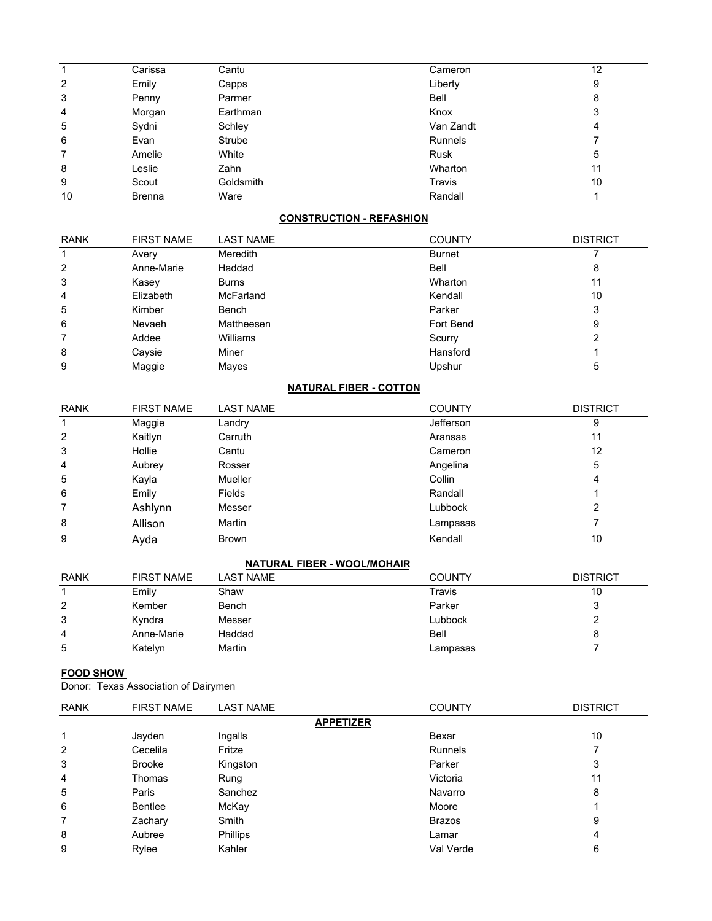|    | Carissa       | Cantu     | Cameron        | 12 |
|----|---------------|-----------|----------------|----|
| 2  | Emily         | Capps     | Liberty        | 9  |
| 3  | Penny         | Parmer    | Bell           | 8  |
| 4  | Morgan        | Earthman  | Knox           | 3  |
| 5  | Sydni         | Schley    | Van Zandt      | 4  |
| 6  | Evan          | Strube    | <b>Runnels</b> | 7  |
| 7  | Amelie        | White     | <b>Rusk</b>    | 5  |
| 8  | Leslie        | Zahn      | Wharton        | 11 |
| 9  | Scout         | Goldsmith | Travis         | 10 |
| 10 | <b>Brenna</b> | Ware      | Randall        |    |

# **CONSTRUCTION - REFASHION**

| <b>RANK</b>    | <b>FIRST NAME</b> | <b>LAST NAME</b> | <b>COUNTY</b> | <b>DISTRICT</b> |
|----------------|-------------------|------------------|---------------|-----------------|
|                | Avery             | Meredith         | <b>Burnet</b> |                 |
| 2              | Anne-Marie        | Haddad           | Bell          | 8               |
| 3              | Kasey             | <b>Burns</b>     | Wharton       | 11              |
| $\overline{4}$ | Elizabeth         | <b>McFarland</b> | Kendall       | 10              |
| 5              | Kimber            | Bench            | Parker        | 3               |
| 6              | Nevaeh            | Mattheesen       | Fort Bend     | 9               |
| 7              | Addee             | Williams         | Scurry        |                 |
| 8              | Caysie            | Miner            | Hansford      |                 |
| 9              | Maggie            | Mayes            | Upshur        | 5               |

# **NATURAL FIBER - COTTON**

| <b>RANK</b> | <b>FIRST NAME</b> | <b>LAST NAME</b> | <b>COUNTY</b> | <b>DISTRICT</b> |
|-------------|-------------------|------------------|---------------|-----------------|
|             | Maggie            | Landry           | Jefferson     | 9               |
| 2           | Kaitlyn           | Carruth          | Aransas       | 11              |
| 3           | Hollie            | Cantu            | Cameron       | 12              |
| 4           | Aubrey            | Rosser           | Angelina      | 5               |
| 5           | Kayla             | <b>Mueller</b>   | Collin        | 4               |
| 6           | Emily             | Fields           | Randall       |                 |
| 7           | Ashlynn           | Messer           | Lubbock       | 2               |
| 8           | Allison           | Martin           | Lampasas      |                 |
| 9           | Ayda              | <b>Brown</b>     | Kendall       | 10              |

# **NATURAL FIBER - WOOL/MOHAIR**

| <b>RANK</b> | <b>FIRST NAME</b> | <b>LAST NAME</b> | <b>COUNTY</b> | <b>DISTRICT</b> |
|-------------|-------------------|------------------|---------------|-----------------|
|             | Emily             | Shaw             | Travis        | 10              |
| 2           | Kember            | Bench            | Parker        | 3               |
| 3           | Kyndra            | Messer           | Lubbock       | 2               |
| 4           | Anne-Marie        | Haddad           | Bell          | 8               |
| 5           | Katelyn           | Martin           | Lampasas      |                 |

# **FOOD SHOW**

Donor: Texas Association of Dairymen

| <b>RANK</b> | <b>FIRST NAME</b> | <b>LAST NAME</b> | <b>COUNTY</b>  | <b>DISTRICT</b> |
|-------------|-------------------|------------------|----------------|-----------------|
|             |                   | <b>APPETIZER</b> |                |                 |
| 1           | Jayden            | Ingalls          | Bexar          | 10              |
| 2           | Cecelila          | Fritze           | <b>Runnels</b> |                 |
| 3           | <b>Brooke</b>     | Kingston         | Parker         | 3               |
| 4           | Thomas            | Rung             | Victoria       | 11              |
| 5           | Paris             | Sanchez          | Navarro        | 8               |
| 6           | <b>Bentlee</b>    | McKay            | Moore          |                 |
| 7           | Zachary           | Smith            | <b>Brazos</b>  | 9               |
| 8           | Aubree            | <b>Phillips</b>  | Lamar          | 4               |
| 9           | Rylee             | Kahler           | Val Verde      | 6               |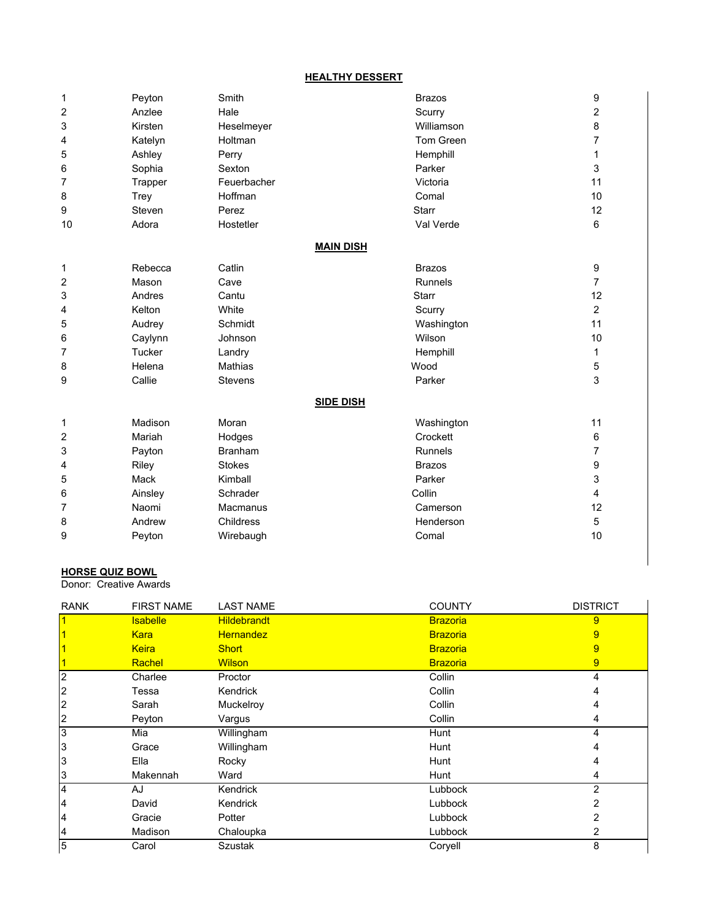#### **HEALTHY DESSERT**

| 1  | Peyton        | Smith            | <b>Brazos</b>  | $\boldsymbol{9}$        |
|----|---------------|------------------|----------------|-------------------------|
| 2  | Anzlee        | Hale             | Scurry         | $\overline{\mathbf{c}}$ |
| 3  | Kirsten       | Heselmeyer       | Williamson     | 8                       |
| 4  | Katelyn       | Holtman          | Tom Green      | $\overline{7}$          |
| 5  | Ashley        | Perry            | Hemphill       | 1                       |
| 6  | Sophia        | Sexton           | Parker         | 3                       |
| 7  | Trapper       | Feuerbacher      | Victoria       | 11                      |
| 8  | Trey          | Hoffman          | Comal          | 10                      |
| 9  | Steven        | Perez            | <b>Starr</b>   | 12                      |
| 10 | Adora         | Hostetler        | Val Verde      | 6                       |
|    |               | <b>MAIN DISH</b> |                |                         |
| 1  | Rebecca       | Catlin           | <b>Brazos</b>  | 9                       |
| 2  | Mason         | Cave             | <b>Runnels</b> | $\overline{7}$          |
| 3  | Andres        | Cantu            | <b>Starr</b>   | 12                      |
| 4  | Kelton        | White            | Scurry         | 2                       |
| 5  | Audrey        | Schmidt          | Washington     | 11                      |
| 6  | Caylynn       | Johnson          | Wilson         | 10                      |
| 7  | <b>Tucker</b> | Landry           | Hemphill       | 1                       |
| 8  | Helena        | Mathias          | Wood           | 5                       |
| 9  | Callie        | <b>Stevens</b>   | Parker         | 3                       |
|    |               | <b>SIDE DISH</b> |                |                         |
| 1  | Madison       | Moran            | Washington     | 11                      |
| 2  | Mariah        | Hodges           | Crockett       | 6                       |
| 3  | Payton        | <b>Branham</b>   | <b>Runnels</b> | 7                       |
| 4  | Riley         | <b>Stokes</b>    | <b>Brazos</b>  | 9                       |
| 5  | Mack          | Kimball          | Parker         | 3                       |
| 6  | Ainsley       | Schrader         | Collin         | 4                       |
| 7  | Naomi         | <b>Macmanus</b>  | Camerson       | 12                      |
| 8  | Andrew        | Childress        | Henderson      | 5                       |
| 9  | Peyton        | Wirebaugh        | Comal          | 10                      |

# **HORSE QUIZ BOWL**

Donor: Creative Awards

| <b>RANK</b>             | <b>FIRST NAME</b> | <b>LAST NAME</b>   | <b>COUNTY</b>   | <b>DISTRICT</b> |
|-------------------------|-------------------|--------------------|-----------------|-----------------|
| $\overline{\mathbf{1}}$ | <b>Isabelle</b>   | <b>Hildebrandt</b> | <b>Brazoria</b> | 9               |
|                         | <b>Kara</b>       | <b>Hernandez</b>   | <b>Brazoria</b> | 9               |
|                         | <b>Keira</b>      | <b>Short</b>       | <b>Brazoria</b> | 9               |
|                         | Rachel            | <b>Wilson</b>      | <b>Brazoria</b> | 9               |
| $\overline{2}$          | Charlee           | Proctor            | Collin          | 4               |
| $\overline{c}$          | Tessa             | Kendrick           | Collin          |                 |
| $\overline{c}$          | Sarah             | Muckelroy          | Collin          |                 |
| $\overline{2}$          | Peyton            | Vargus             | Collin          | 4               |
| c                       | Mia               | Willingham         | Hunt            | 4               |
| 3                       | Grace             | Willingham         | Hunt            | 4               |
| 3                       | Ella              | Rocky              | Hunt            | 4               |
| 3                       | Makennah          | Ward               | Hunt            | 4               |
| $\overline{4}$          | AJ                | Kendrick           | Lubbock         | 2               |
| 4                       | David             | Kendrick           | Lubbock         | $\overline{2}$  |
| 4                       | Gracie            | Potter             | Lubbock         | 2               |
| 4                       | Madison           | Chaloupka          | Lubbock         | 2               |
| $\overline{5}$          | Carol             | <b>Szustak</b>     | Coryell         | 8               |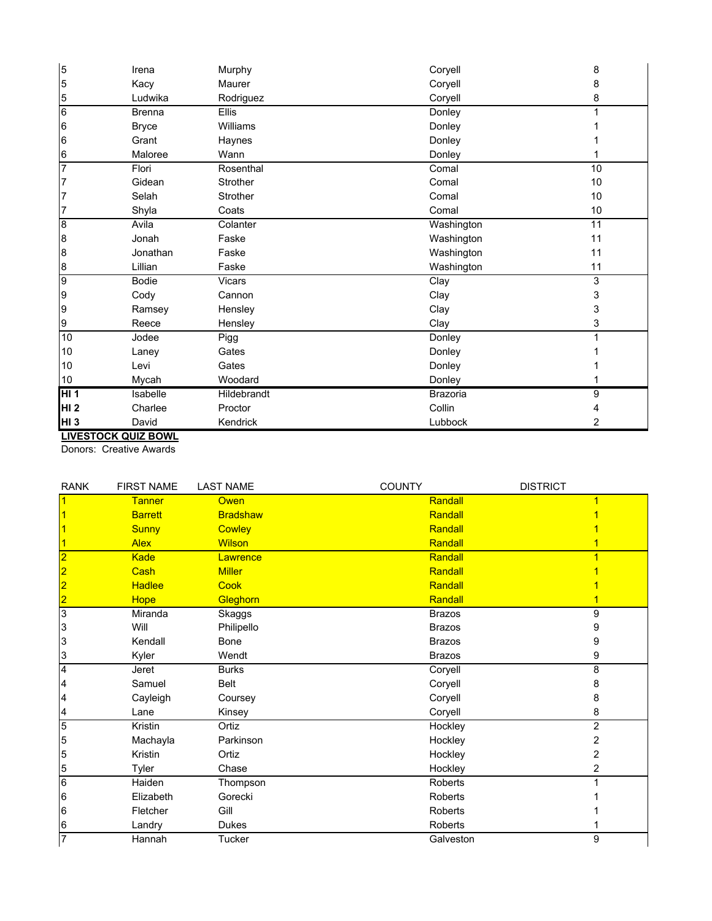| 5               | Irena         | Murphy        | Coryell         | 8  |
|-----------------|---------------|---------------|-----------------|----|
| 5               | Kacy          | Maurer        | Coryell         | 8  |
| $\overline{5}$  | Ludwika       | Rodriguez     | Coryell         | 8  |
| $6\overline{6}$ | <b>Brenna</b> | <b>Ellis</b>  | Donley          |    |
| 6               | <b>Bryce</b>  | Williams      | Donley          |    |
| $6\phantom{.}6$ | Grant         | Haynes        | Donley          |    |
| 6               | Maloree       | Wann          | Donley          |    |
| $\overline{7}$  | Flori         | Rosenthal     | Comal           | 10 |
| 7               | Gidean        | Strother      | Comal           | 10 |
| $\overline{7}$  | Selah         | Strother      | Comal           | 10 |
| 17              | Shyla         | Coats         | Comal           | 10 |
| 8               | Avila         | Colanter      | Washington      | 11 |
| 8               | Jonah         | Faske         | Washington      | 11 |
| 8               | Jonathan      | Faske         | Washington      | 11 |
| 8               | Lillian       | Faske         | Washington      | 11 |
| 9               | <b>Bodie</b>  | <b>Vicars</b> | Clay            | 3  |
| 9               | Cody          | Cannon        | Clay            | 3  |
| 9               | Ramsey        | Hensley       | Clay            | 3  |
| 9               | Reece         | Hensley       | Clay            | 3  |
| 10              | Jodee         | Pigg          | Donley          |    |
| 10              | Laney         | Gates         | Donley          |    |
| 10              | Levi          | Gates         | Donley          |    |
| 10              | Mycah         | Woodard       | Donley          |    |
| HI <sub>1</sub> | Isabelle      | Hildebrandt   | <b>Brazoria</b> | 9  |
| <b>HI2</b>      | Charlee       | Proctor       | Collin          |    |
| HI <sub>3</sub> | David         | Kendrick      | Lubbock         | 2  |

**LIVESTOCK QUIZ BOWL**

Donors: Creative Awards

| <b>RANK</b>             | <b>FIRST NAME</b> | <b>LAST NAME</b> | <b>COUNTY</b>  | <b>DISTRICT</b> |
|-------------------------|-------------------|------------------|----------------|-----------------|
|                         | <b>Tanner</b>     | <b>Owen</b>      | Randall        |                 |
|                         | <b>Barrett</b>    | <b>Bradshaw</b>  | Randall        |                 |
|                         | <b>Sunny</b>      | <b>Cowley</b>    | Randall        |                 |
|                         | <b>Alex</b>       | <b>Wilson</b>    | Randall        |                 |
|                         | <b>Kade</b>       | Lawrence         | Randall        |                 |
| $\overline{\mathbf{2}}$ | Cash              | <b>Miller</b>    | Randall        |                 |
| $\overline{2}$          | <b>Hadlee</b>     | Cook             | Randall        |                 |
| 2                       | <b>Hope</b>       | Gleghorn         | Randall        |                 |
| 3                       | Miranda           | Skaggs           | <b>Brazos</b>  | 9               |
| 3                       | Will              | Philipello       | <b>Brazos</b>  | 9               |
| 3                       | Kendall           | <b>Bone</b>      | <b>Brazos</b>  | 9               |
| 3                       | Kyler             | Wendt            | <b>Brazos</b>  | 9               |
| $\overline{4}$          | Jeret             | <b>Burks</b>     | Coryell        | 8               |
| 4                       | Samuel            | <b>Belt</b>      | Coryell        | 8               |
| 4                       | Cayleigh          | Coursey          | Coryell        | 8               |
| 4                       | Lane              | Kinsey           | Coryell        | 8               |
| 5                       | Kristin           | Ortiz            | Hockley        | $\overline{2}$  |
| 5                       | Machayla          | Parkinson        | Hockley        | 2               |
| 5                       | Kristin           | Ortiz            | Hockley        | 2               |
| 5                       | Tyler             | Chase            | Hockley        | 2               |
| $6\overline{6}$         | Haiden            | Thompson         | <b>Roberts</b> |                 |
| 6                       | Elizabeth         | Gorecki          | Roberts        |                 |
| 6                       | Fletcher          | Gill             | <b>Roberts</b> |                 |
| $6\phantom{.}6$         | Landry            | <b>Dukes</b>     | <b>Roberts</b> |                 |
| $\overline{7}$          | Hannah            | Tucker           | Galveston      | 9               |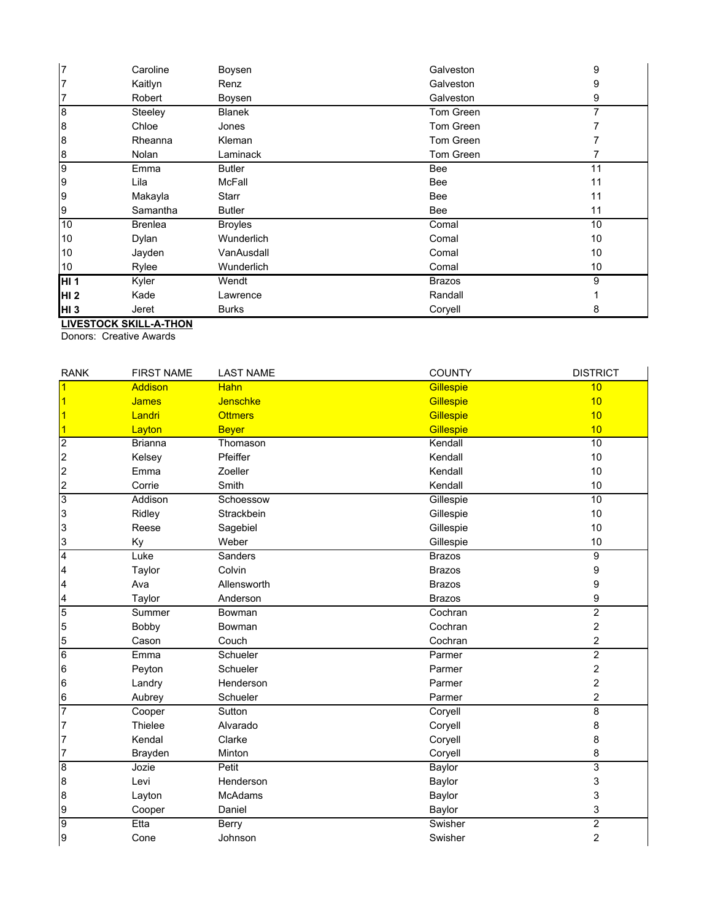| 17              | Caroline       | Boysen         | Galveston     | 9  |
|-----------------|----------------|----------------|---------------|----|
| $\overline{7}$  | Kaitlyn        | Renz           | Galveston     | 9  |
| $\overline{7}$  | Robert         | Boysen         | Galveston     | 9  |
| 8               | Steeley        | <b>Blanek</b>  | Tom Green     | 7  |
| 8               | Chloe          | Jones          | Tom Green     |    |
| 8               | Rheanna        | <b>Kleman</b>  | Tom Green     |    |
| 8               | Nolan          | Laminack       | Tom Green     |    |
| 9               | Emma           | <b>Butler</b>  | <b>Bee</b>    | 11 |
| 9               | Lila           | <b>McFall</b>  | <b>Bee</b>    | 11 |
| 9               | Makayla        | Starr          | <b>Bee</b>    | 11 |
| 9               | Samantha       | <b>Butler</b>  | <b>Bee</b>    | 11 |
| 10              | <b>Brenlea</b> | <b>Broyles</b> | Comal         | 10 |
| 10              | Dylan          | Wunderlich     | Comal         | 10 |
| 10              | Jayden         | VanAusdall     | Comal         | 10 |
| 10              | Rylee          | Wunderlich     | Comal         | 10 |
| HI <sub>1</sub> | Kyler          | Wendt          | <b>Brazos</b> | 9  |
| <b>HI2</b>      | Kade           | Lawrence       | Randall       |    |
| HI <sub>3</sub> | Jeret          | <b>Burks</b>   | Coryell       | 8  |

**LIVESTOCK SKILL-A-THON**

Donors: Creative Awards

| <b>RANK</b>             | <b>FIRST NAME</b> | <b>LAST NAME</b> | <b>COUNTY</b> | <b>DISTRICT</b>         |
|-------------------------|-------------------|------------------|---------------|-------------------------|
| $\overline{1}$          | Addison           | <b>Hahn</b>      | Gillespie     | 10                      |
| $\vert$ 1               | <b>James</b>      | Jenschke         | Gillespie     | 10                      |
| $\vert$ 1               | Landri            | <b>Ottmers</b>   | Gillespie     | 10                      |
| $\overline{\mathbf{1}}$ | Layton            | <b>Beyer</b>     | Gillespie     | 10                      |
| $\overline{2}$          | <b>Brianna</b>    | Thomason         | Kendall       | 10                      |
| $\overline{c}$          | Kelsey            | Pfeiffer         | Kendall       | 10                      |
| $\overline{c}$          | Emma              | Zoeller          | Kendall       | 10                      |
| $\frac{2}{3}$           | Corrie            | Smith            | Kendall       | 10                      |
|                         | Addison           | Schoessow        | Gillespie     | 10                      |
| 3                       | Ridley            | Strackbein       | Gillespie     | 10                      |
| 3                       | Reese             | Sagebiel         | Gillespie     | 10                      |
| $\frac{3}{4}$           | Ky                | Weber            | Gillespie     | 10                      |
|                         | Luke              | Sanders          | <b>Brazos</b> | 9                       |
| $\overline{a}$          | Taylor            | Colvin           | <b>Brazos</b> | 9                       |
| 4                       | Ava               | Allensworth      | <b>Brazos</b> | 9                       |
| $\overline{a}$          | Taylor            | Anderson         | <b>Brazos</b> | 9                       |
| $\overline{5}$          | Summer            | Bowman           | Cochran       | $\overline{2}$          |
| 5                       | Bobby             | Bowman           | Cochran       | $\overline{\mathbf{c}}$ |
| 5                       | Cason             | Couch            | Cochran       | $\overline{c}$          |
| $\overline{6}$          | Emma              | Schueler         | Parmer        | $\overline{2}$          |
| 6                       | Peyton            | Schueler         | Parmer        | $\overline{c}$          |
| 6                       | Landry            | Henderson        | Parmer        | $\overline{c}$          |
| $6\phantom{.}6$         | Aubrey            | Schueler         | Parmer        | 2                       |
| $\overline{7}$          | Cooper            | Sutton           | Coryell       | 8                       |
| 7                       | Thielee           | Alvarado         | Coryell       | 8                       |
| $\overline{7}$          | Kendal            | Clarke           | Coryell       | 8                       |
| $\overline{7}$          | Brayden           | Minton           | Coryell       | 8                       |
| $\overline{8}$          | Jozie             | Petit            | Baylor        | 3                       |
| 8                       | Levi              | Henderson        | Baylor        | 3                       |
| $\bf{8}$                | Layton            | McAdams          | Baylor        | 3                       |
| 9                       | Cooper            | Daniel           | Baylor        | 3                       |
| $\overline{9}$          | Etta              | Berry            | Swisher       | 2                       |
| 9                       | Cone              | Johnson          | Swisher       | $\overline{c}$          |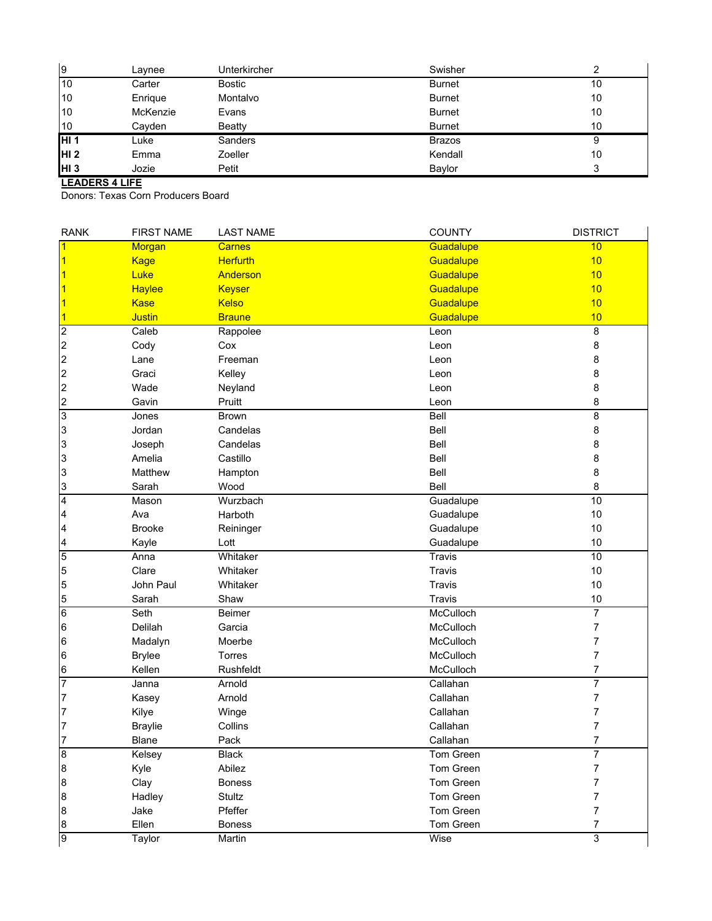| 9               | Lavnee   | Unterkircher  | Swisher       |        |
|-----------------|----------|---------------|---------------|--------|
| 10              | Carter   | Bostic        | <b>Burnet</b> | 10     |
| 10              | Enrique  | Montalvo      | <b>Burnet</b> | 10     |
| 10              | McKenzie | Evans         | <b>Burnet</b> | 10     |
| 10              | Cayden   | <b>Beatty</b> | <b>Burnet</b> | 10     |
| HI <sub>1</sub> | Luke     | Sanders       | <b>Brazos</b> | 9      |
| HI <sub>2</sub> | Emma     | Zoeller       | Kendall       | 10     |
| HI <sub>3</sub> | Jozie    | Petit         | Baylor        | ົ<br>ت |

# **LEADERS 4 LIFE**

Donors: Texas Corn Producers Board

| <b>RANK</b>      | <b>FIRST NAME</b> | <b>LAST NAME</b> | <b>COUNTY</b> | <b>DISTRICT</b>           |
|------------------|-------------------|------------------|---------------|---------------------------|
| $\vert$ 1        | <b>Morgan</b>     | <b>Carnes</b>    | Guadalupe     | 10                        |
| $\vert$ 1        | <b>Kage</b>       | <b>Herfurth</b>  | Guadalupe     | 10                        |
| $\vert$ 1        | Luke              | Anderson         | Guadalupe     | 10                        |
| $\vert$ 1        | <b>Haylee</b>     | <b>Keyser</b>    | Guadalupe     | 10                        |
| $\vert$ 1        | <b>Kase</b>       | Kelso            | Guadalupe     | 10                        |
| $\vert$ 1        | <b>Justin</b>     | <b>Braune</b>    | Guadalupe     | 10                        |
| $\overline{2}$   | Caleb             | Rappolee         | Leon          | 8                         |
| $\overline{c}$   | Cody              | Cox              | Leon          | 8                         |
| $\overline{c}$   | Lane              | Freeman          | Leon          | 8                         |
| $\overline{c}$   | Graci             | Kelley           | Leon          | 8                         |
| $\overline{c}$   | Wade              | Neyland          | Leon          | 8                         |
| $\frac{2}{3}$    | Gavin             | Pruitt           | Leon          | 8                         |
|                  | Jones             | <b>Brown</b>     | Bell          | 8                         |
| 3                | Jordan            | Candelas         | Bell          | 8                         |
| 3                | Joseph            | Candelas         | Bell          | 8                         |
| 3                | Amelia            | Castillo         | Bell          | 8                         |
| 3                | Matthew           | Hampton          | Bell          | 8                         |
|                  | Sarah             | Wood             | Bell          | 8                         |
| $\frac{3}{4}$    | Mason             | Wurzbach         | Guadalupe     | 10                        |
| 4                | Ava               | Harboth          | Guadalupe     | $10$                      |
| 4                | <b>Brooke</b>     | Reininger        | Guadalupe     | 10                        |
|                  | Kayle             | Lott             | Guadalupe     | 10                        |
| $\frac{4}{5}$    | Anna              | Whitaker         | Travis        | 10                        |
| 5                | Clare             | Whitaker         | Travis        | 10                        |
| 5                | John Paul         | Whitaker         | Travis        | 10                        |
| $\frac{5}{6}$    | Sarah             | Shaw             | Travis        | 10                        |
|                  | Seth              | <b>Beimer</b>    | McCulloch     | $\overline{7}$            |
| $6\phantom{.}6$  | Delilah           | Garcia           | McCulloch     | 7                         |
| $6\phantom{.}6$  | Madalyn           | Moerbe           | McCulloch     | $\overline{\mathfrak{c}}$ |
| $6\phantom{.}6$  | <b>Brylee</b>     | Torres           | McCulloch     | 7                         |
| $\frac{6}{7}$    | Kellen            | Rushfeldt        | McCulloch     | 7                         |
|                  | Janna             | Arnold           | Callahan      | $\overline{7}$            |
| 7                | Kasey             | Arnold           | Callahan      | $\overline{7}$            |
| $\overline{7}$   | Kilye             | Winge            | Callahan      | $\overline{\mathfrak{c}}$ |
| 7                | <b>Braylie</b>    | Collins          | Callahan      | 7                         |
| $\overline{7}$   | <b>Blane</b>      | Pack             | Callahan      | $\overline{7}$            |
| 8                | Kelsey            | Black            | Tom Green     | 7                         |
| $\boldsymbol{8}$ | Kyle              | Abilez           | Tom Green     | 7                         |
| $\boldsymbol{8}$ | Clay              | <b>Boness</b>    | Tom Green     | 7                         |
| $\boldsymbol{8}$ | Hadley            | Stultz           | Tom Green     | $\overline{\mathfrak{c}}$ |
| $\boldsymbol{8}$ | Jake              | Pfeffer          | Tom Green     | $\overline{\mathfrak{c}}$ |
|                  | Ellen             | <b>Boness</b>    | Tom Green     | 7                         |
| $\frac{8}{9}$    | Taylor            | Martin           | Wise          | $\overline{3}$            |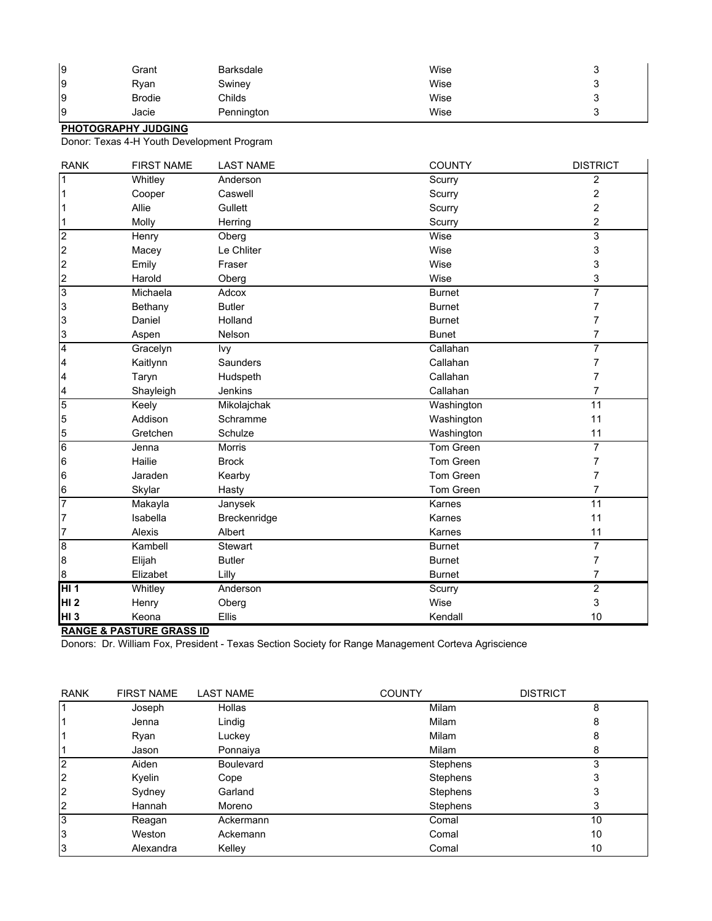| 9  | Grant         | <b>Barksdale</b> | Wise |   |
|----|---------------|------------------|------|---|
| Ι9 | Ryan          | Swiney           | Wise |   |
| l9 | <b>Brodie</b> | Childs           | Wise | ∼ |
| l9 | Jacie         | Pennington       | Wise |   |

#### **PHOTOGRAPHY JUDGING**

Donor: Texas 4-H Youth Development Program

| <b>RANK</b>             | <b>FIRST NAME</b> | <b>LAST NAME</b> | <b>COUNTY</b> | <b>DISTRICT</b>         |
|-------------------------|-------------------|------------------|---------------|-------------------------|
| $\overline{1}$          | Whitley           | Anderson         | Scurry        | $\overline{c}$          |
| $\vert$ 1               | Cooper            | Caswell          | Scurry        | 2                       |
| $\mathbf{1}$            | Allie             | Gullett          | Scurry        | $\overline{\mathbf{c}}$ |
| $\frac{1}{2}$           | Molly             | Herring          | Scurry        | 2                       |
|                         | Henry             | Oberg            | Wise          | $\overline{3}$          |
| $\overline{c}$          | Macey             | Le Chliter       | Wise          | 3                       |
|                         | Emily             | Fraser           | Wise          | 3                       |
| $\frac{2}{3}$           | Harold            | Oberg            | Wise          | 3                       |
|                         | Michaela          | Adcox            | <b>Burnet</b> | $\overline{7}$          |
| 3                       | Bethany           | <b>Butler</b>    | <b>Burnet</b> | 7                       |
| 3                       | Daniel            | Holland          | <b>Burnet</b> | 7                       |
| $\frac{3}{4}$           | Aspen             | Nelson           | <b>Bunet</b>  | 7                       |
|                         | Gracelyn          | Ivy              | Callahan      | 7                       |
| 4                       | Kaitlynn          | Saunders         | Callahan      | 7                       |
| $\overline{\mathbf{4}}$ | Taryn             | Hudspeth         | Callahan      | 7                       |
| $\frac{4}{5}$           | Shayleigh         | Jenkins          | Callahan      | 7                       |
|                         | Keely             | Mikolajchak      | Washington    | $\overline{11}$         |
| 5                       | Addison           | Schramme         | Washington    | 11                      |
| 5                       | Gretchen          | Schulze          | Washington    | 11                      |
| $\overline{6}$          | Jenna             | <b>Morris</b>    | Tom Green     | 7                       |
| $6\phantom{.}6$         | Hailie            | <b>Brock</b>     | Tom Green     | 7                       |
| $6\phantom{.}6$         | Jaraden           | Kearby           | Tom Green     | 7                       |
| $\boldsymbol{6}$        | Skylar            | Hasty            | Tom Green     | 7                       |
| $\overline{7}$          | Makayla           | Janysek          | Karnes        | 11                      |
| $\overline{7}$          | Isabella          | Breckenridge     | Karnes        | 11                      |
| $\overline{7}$          | Alexis            | Albert           | Karnes        | 11                      |
| $\overline{8}$          | Kambell           | Stewart          | <b>Burnet</b> | 7                       |
| $\boldsymbol{8}$        | Elijah            | <b>Butler</b>    | <b>Burnet</b> | 7                       |
| $\boldsymbol{8}$        | Elizabet          | Lilly            | <b>Burnet</b> | $\overline{7}$          |
| HI <sub>1</sub>         | Whitley           | Anderson         | Scurry        | $\overline{2}$          |
| HI <sub>2</sub>         | Henry             | Oberg            | Wise          | 3                       |
| <b>HI3</b>              | Keona             | Ellis            | Kendall       | 10                      |

**RANGE & PASTURE GRASS ID**

Donors: Dr. William Fox, President - Texas Section Society for Range Management Corteva Agriscience

| <b>RANK</b>    | <b>FIRST NAME</b> | <b>LAST NAME</b> | <b>COUNTY</b>   | <b>DISTRICT</b> |
|----------------|-------------------|------------------|-----------------|-----------------|
|                | Joseph            | Hollas           | Milam           | 8               |
|                | Jenna             | Lindig           | Milam           | 8               |
|                | Ryan              | Luckey           | Milam           | 8               |
|                | Jason             | Ponnaiya         | Milam           | 8               |
| 2              | Aiden             | <b>Boulevard</b> | Stephens        |                 |
| $\overline{2}$ | Kyelin            | Cope             | <b>Stephens</b> |                 |
| 12             | Sydney            | Garland          | <b>Stephens</b> |                 |
| $\overline{2}$ | Hannah            | Moreno           | Stephens        |                 |
| Iз             | Reagan            | Ackermann        | Comal           | 10              |
| Iз             | Weston            | Ackemann         | Comal           | 10              |
| 3              | Alexandra         | Kelley           | Comal           | 10              |